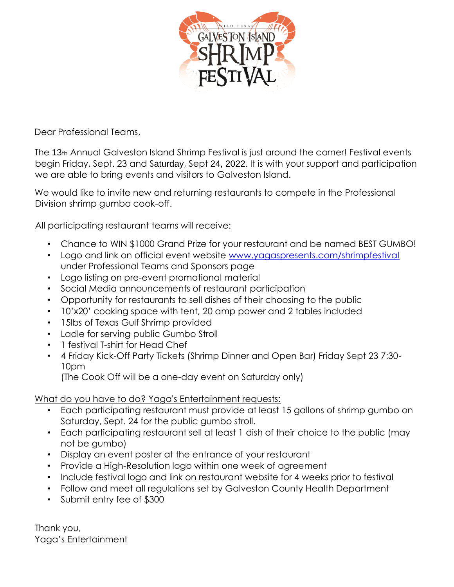

Dear Professional Teams,

The 13th Annual Galveston Island Shrimp Festival is just around the corner! Festival events begin Friday, Sept. 23 and Saturday, Sept 24, 2022. It is with your support and participation we are able to bring events and visitors to Galveston Island.

We would like to invite new and returning restaurants to compete in the Professional Division shrimp gumbo cook-off.

# All participating restaurant teams will receive:

- Chance to WIN \$1000 Grand Prize for your restaurant and be named BEST GUMBO!
- Logo and link on official event website www.yagaspresents.com/shrimpfestival under Professional Teams and Sponsors page
- Logo listing on pre-event promotional material
- Social Media announcements of restaurant participation
- Opportunity for restaurants to sell dishes of their choosing to the public
- 10'x20' cooking space with tent, 20 amp power and 2 tables included
- 15lbs of Texas Gulf Shrimp provided
- Ladle for serving public Gumbo Stroll
- 1 festival T-shirt for Head Chef
- 4 Friday Kick-Off Party Tickets (Shrimp Dinner and Open Bar) Friday Sept 23 7:30- 10pm

(The Cook Off will be a one-day event on Saturday only)

What do you have to do? Yaga's Entertainment requests:

- Each participating restaurant must provide at least 15 gallons of shrimp gumbo on Saturday, Sept. 24 for the public gumbo stroll.
- Each participating restaurant sell at least 1 dish of their choice to the public (may not be gumbo)
- Display an event poster at the entrance of your restaurant
- Provide a High-Resolution logo within one week of agreement
- Include festival logo and link on restaurant website for 4 weeks prior to festival
- Follow and meet all regulations set by Galveston County Health Department
- Submit entry fee of \$300

Thank you, Yaga's Entertainment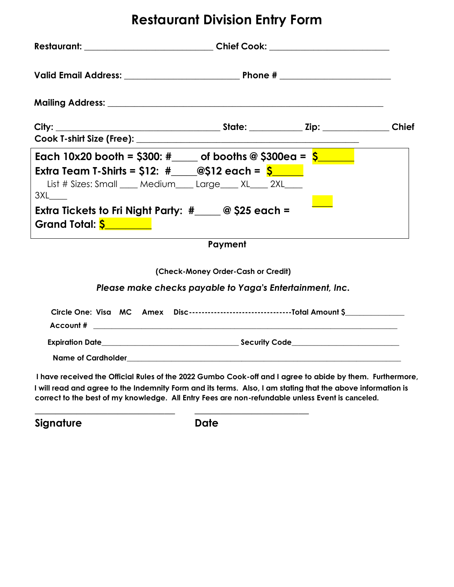# **Restaurant Division Entry Form**

| Restaurant: __________________________________Chief Cook: ______________________                                                                                                                                                                                                                                            |  |  |  |
|-----------------------------------------------------------------------------------------------------------------------------------------------------------------------------------------------------------------------------------------------------------------------------------------------------------------------------|--|--|--|
|                                                                                                                                                                                                                                                                                                                             |  |  |  |
|                                                                                                                                                                                                                                                                                                                             |  |  |  |
|                                                                                                                                                                                                                                                                                                                             |  |  |  |
|                                                                                                                                                                                                                                                                                                                             |  |  |  |
| Each 10x20 booth = \$300: #_____ of booths @ \$300ea = $\frac{2}{5}$                                                                                                                                                                                                                                                        |  |  |  |
| Extra Team T-Shirts = \$12: #____@\$12 each = $\frac{\mathsf{S}}{\mathsf{S}}$                                                                                                                                                                                                                                               |  |  |  |
| List # Sizes: Small ____ Medium____ Large____ XL____ 2XL____<br>$3XL$ <sub>_____</sub>                                                                                                                                                                                                                                      |  |  |  |
| Extra Tickets to Fri Night Party: $\#$ $\_\_\_$ @ \$25 each =<br>Grand Total: <mark>\$ ________</mark>                                                                                                                                                                                                                      |  |  |  |
| Payment                                                                                                                                                                                                                                                                                                                     |  |  |  |
| (Check-Money Order-Cash or Credit)                                                                                                                                                                                                                                                                                          |  |  |  |
| Please make checks payable to Yaga's Entertainment, Inc.                                                                                                                                                                                                                                                                    |  |  |  |
|                                                                                                                                                                                                                                                                                                                             |  |  |  |
|                                                                                                                                                                                                                                                                                                                             |  |  |  |
|                                                                                                                                                                                                                                                                                                                             |  |  |  |
| I have received the Official Rules of the 2022 Gumbo Cook-off and I agree to abide by them. Furthermore,<br>I will read and agree to the Indemnity Form and its terms. Also, I am stating that the above information is<br>correct to the best of my knowledge. All Entry Fees are non-refundable unless Event is canceled. |  |  |  |

**Signature Date**

**\_\_\_\_\_\_\_\_\_\_\_\_\_\_\_\_\_\_\_\_\_\_\_\_\_\_\_ \_\_\_\_\_\_\_\_\_\_\_\_\_\_\_\_\_\_\_\_\_\_**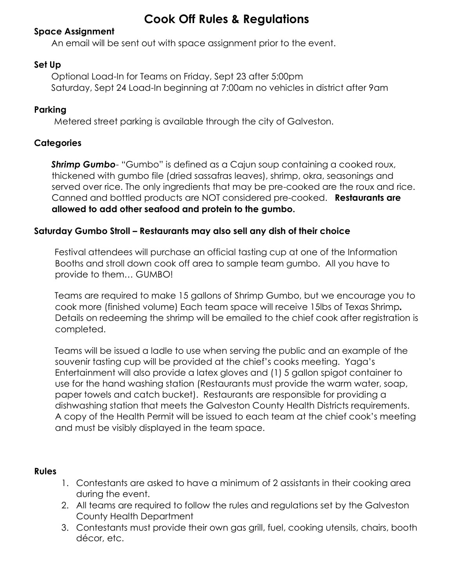# **Cook Off Rules & Regulations**

## **Space Assignment**

An email will be sent out with space assignment prior to the event.

## **Set Up**

Optional Load-In for Teams on Friday, Sept 23 after 5:00pm Saturday, Sept 24 Load-In beginning at 7:00am no vehicles in district after 9am

# **Parking**

Metered street parking is available through the city of Galveston.

# **Categories**

**Shrimp Gumbo**- "Gumbo" is defined as a Cajun soup containing a cooked roux, thickened with gumbo file (dried sassafras leaves), shrimp, okra, seasonings and served over rice. The only ingredients that may be pre-cooked are the roux and rice. Canned and bottled products are NOT considered pre-cooked. **Restaurants are allowed to add other seafood and protein to the gumbo.** 

## **Saturday Gumbo Stroll – Restaurants may also sell any dish of their choice**

Festival attendees will purchase an official tasting cup at one of the Information Booths and stroll down cook off area to sample team gumbo. All you have to provide to them… GUMBO!

Teams are required to make 15 gallons of Shrimp Gumbo, but we encourage you to cook more (finished volume) Each team space will receive 15lbs of Texas Shrimp*.* Details on redeeming the shrimp will be emailed to the chief cook after registration is completed.

Teams will be issued a ladle to use when serving the public and an example of the souvenir tasting cup will be provided at the chief's cooks meeting. Yaga's Entertainment will also provide a latex gloves and (1) 5 gallon spigot container to use for the hand washing station (Restaurants must provide the warm water, soap, paper towels and catch bucket). Restaurants are responsible for providing a dishwashing station that meets the Galveston County Health Districts requirements. A copy of the Health Permit will be issued to each team at the chief cook's meeting and must be visibly displayed in the team space.

## **Rules**

- 1. Contestants are asked to have a minimum of 2 assistants in their cooking area during the event.
- 2. All teams are required to follow the rules and regulations set by the Galveston County Health Department
- 3. Contestants must provide their own gas grill, fuel, cooking utensils, chairs, booth décor, etc.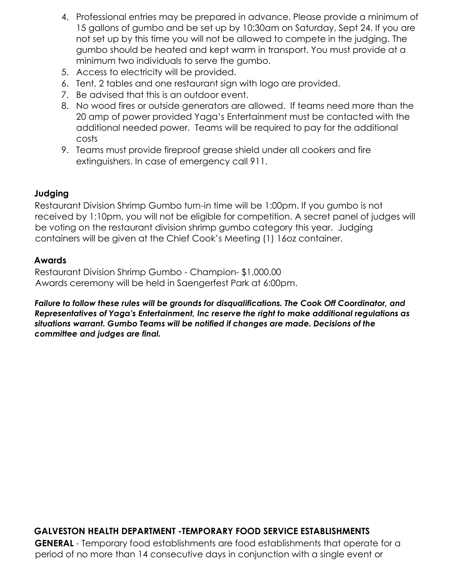- 4. Professional entries may be prepared in advance. Please provide a minimum of 15 gallons of gumbo and be set up by 10:30am on Saturday, Sept 24. If you are not set up by this time you will not be allowed to compete in the judging. The gumbo should be heated and kept warm in transport. You must provide at a minimum two individuals to serve the gumbo.
- 5. Access to electricity will be provided.
- 6. Tent, 2 tables and one restaurant sign with logo are provided.
- 7. Be advised that this is an outdoor event.
- 8. No wood fires or outside generators are allowed. If teams need more than the 20 amp of power provided Yaga's Entertainment must be contacted with the additional needed power. Teams will be required to pay for the additional costs
- 9. Teams must provide fireproof grease shield under all cookers and fire extinguishers. In case of emergency call 911.

# **Judging**

Restaurant Division Shrimp Gumbo turn-in time will be 1:00pm. If you gumbo is not received by 1:10pm, you will not be eligible for competition. A secret panel of judges will be voting on the restaurant division shrimp gumbo category this year. Judging containers will be given at the Chief Cook's Meeting (1) 16oz container.

# **Awards**

Restaurant Division Shrimp Gumbo - Champion- \$1,000.00 Awards ceremony will be held in Saengerfest Park at 6:00pm.

*Failure to follow these rules will be grounds for disqualifications. The Cook Off Coordinator, and Representatives of Yaga's Entertainment, Inc reserve the right to make additional regulations as situations warrant. Gumbo Teams will be notified if changes are made. Decisions of the committee and judges are final.* 

# **GALVESTON HEALTH DEPARTMENT -TEMPORARY FOOD SERVICE ESTABLISHMENTS**

**GENERAL** - Temporary food establishments are food establishments that operate for a period of no more than 14 consecutive days in conjunction with a single event or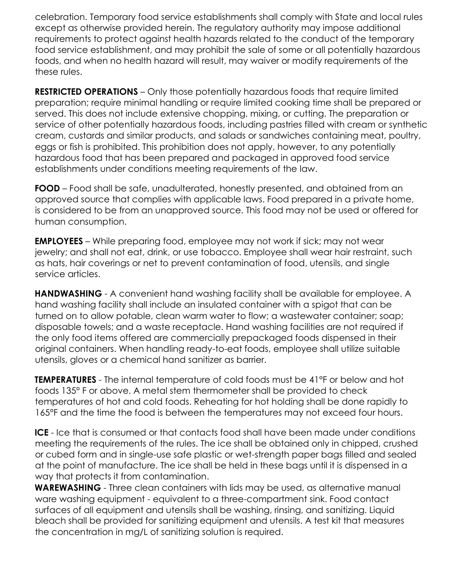celebration. Temporary food service establishments shall comply with State and local rules except as otherwise provided herein. The regulatory authority may impose additional requirements to protect against health hazards related to the conduct of the temporary food service establishment, and may prohibit the sale of some or all potentially hazardous foods, and when no health hazard will result, may waiver or modify requirements of the these rules.

**RESTRICTED OPERATIONS** – Only those potentially hazardous foods that require limited preparation; require minimal handling or require limited cooking time shall be prepared or served. This does not include extensive chopping, mixing, or cutting. The preparation or service of other potentially hazardous foods, including pastries filled with cream or synthetic cream, custards and similar products, and salads or sandwiches containing meat, poultry, eggs or fish is prohibited. This prohibition does not apply, however, to any potentially hazardous food that has been prepared and packaged in approved food service establishments under conditions meeting requirements of the law.

**FOOD** – Food shall be safe, unadulterated, honestly presented, and obtained from an approved source that complies with applicable laws. Food prepared in a private home, is considered to be from an unapproved source. This food may not be used or offered for human consumption.

**EMPLOYEES** – While preparing food, employee may not work if sick; may not wear jewelry; and shall not eat, drink, or use tobacco. Employee shall wear hair restraint, such as hats, hair coverings or net to prevent contamination of food, utensils, and single service articles.

**HANDWASHING** - A convenient hand washing facility shall be available for employee. A hand washing facility shall include an insulated container with a spigot that can be turned on to allow potable, clean warm water to flow; a wastewater container; soap; disposable towels; and a waste receptacle. Hand washing facilities are not required if the only food items offered are commercially prepackaged foods dispensed in their original containers. When handling ready-to-eat foods, employee shall utilize suitable utensils, gloves or a chemical hand sanitizer as barrier.

**TEMPERATURES** - The internal temperature of cold foods must be 41°F or below and hot foods 135° F or above. A metal stem thermometer shall be provided to check temperatures of hot and cold foods. Reheating for hot holding shall be done rapidly to 165°F and the time the food is between the temperatures may not exceed four hours.

**ICE** - Ice that is consumed or that contacts food shall have been made under conditions meeting the requirements of the rules. The ice shall be obtained only in chipped, crushed or cubed form and in single-use safe plastic or wet-strength paper bags filled and sealed at the point of manufacture. The ice shall be held in these bags until it is dispensed in a way that protects it from contamination.

**WAREWASHING** - Three clean containers with lids may be used, as alternative manual ware washing equipment - equivalent to a three-compartment sink. Food contact surfaces of all equipment and utensils shall be washing, rinsing, and sanitizing. Liquid bleach shall be provided for sanitizing equipment and utensils. A test kit that measures the concentration in mg/L of sanitizing solution is required.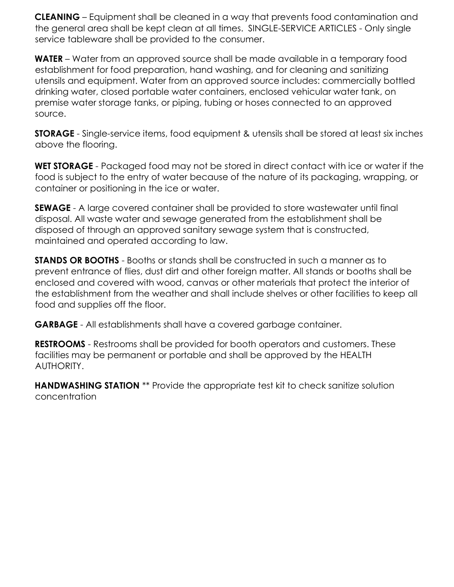**CLEANING** – Equipment shall be cleaned in a way that prevents food contamination and the general area shall be kept clean at all times. SINGLE-SERVICE ARTICLES - Only single service tableware shall be provided to the consumer.

**WATER** – Water from an approved source shall be made available in a temporary food establishment for food preparation, hand washing, and for cleaning and sanitizing utensils and equipment. Water from an approved source includes: commercially bottled drinking water, closed portable water containers, enclosed vehicular water tank, on premise water storage tanks, or piping, tubing or hoses connected to an approved source.

**STORAGE** - Single-service items, food equipment & utensils shall be stored at least six inches above the flooring.

**WET STORAGE** - Packaged food may not be stored in direct contact with ice or water if the food is subject to the entry of water because of the nature of its packaging, wrapping, or container or positioning in the ice or water.

**SEWAGE** - A large covered container shall be provided to store wastewater until final disposal. All waste water and sewage generated from the establishment shall be disposed of through an approved sanitary sewage system that is constructed, maintained and operated according to law.

**STANDS OR BOOTHS** - Booths or stands shall be constructed in such a manner as to prevent entrance of flies, dust dirt and other foreign matter. All stands or booths shall be enclosed and covered with wood, canvas or other materials that protect the interior of the establishment from the weather and shall include shelves or other facilities to keep all food and supplies off the floor.

**GARBAGE** - All establishments shall have a covered garbage container.

**RESTROOMS** - Restrooms shall be provided for booth operators and customers. These facilities may be permanent or portable and shall be approved by the HEALTH AUTHORITY.

**HANDWASHING STATION** \*\* Provide the appropriate test kit to check sanitize solution concentration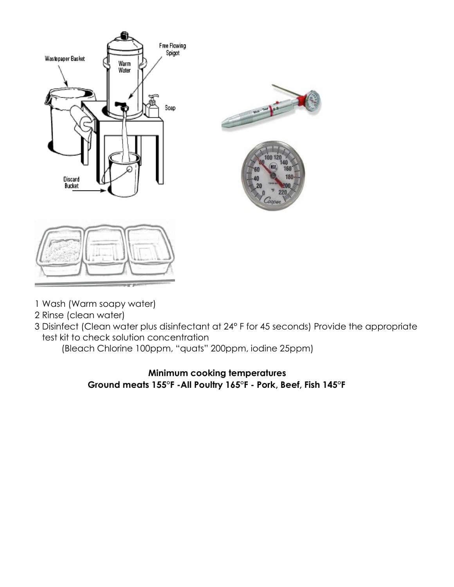

- 1 Wash (Warm soapy water)
- 2 Rinse (clean water)
- 3 Disinfect (Clean water plus disinfectant at 24° F for 45 seconds) Provide the appropriate test kit to check solution concentration

(Bleach Chlorine 100ppm, "quats" 200ppm, iodine 25ppm)

# **Minimum cooking temperatures Ground meats 155°F -All Poultry 165°F - Pork, Beef, Fish 145°F**